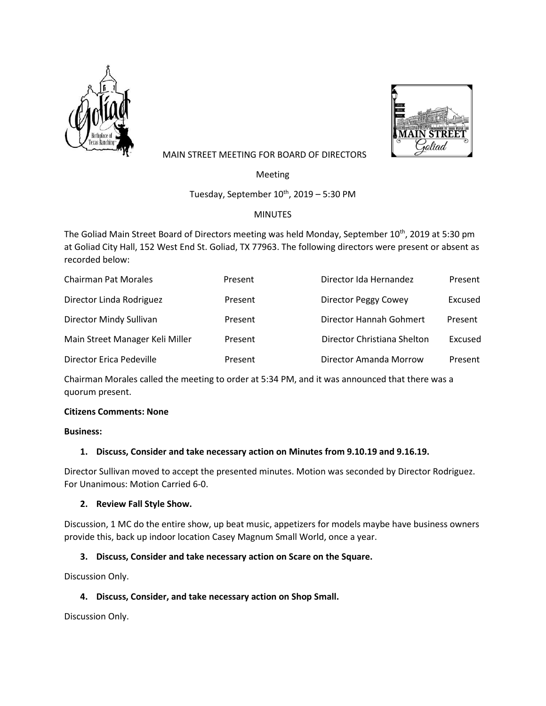



## MAIN STREET MEETING FOR BOARD OF DIRECTORS

Meeting

Tuesday, September  $10^{th}$ , 2019 – 5:30 PM

# MINUTES

The Goliad Main Street Board of Directors meeting was held Monday, September 10<sup>th</sup>, 2019 at 5:30 pm at Goliad City Hall, 152 West End St. Goliad, TX 77963. The following directors were present or absent as recorded below:

| <b>Chairman Pat Morales</b>     | Present | Director Ida Hernandez      | Present |
|---------------------------------|---------|-----------------------------|---------|
| Director Linda Rodriguez        | Present | Director Peggy Cowey        | Excused |
| Director Mindy Sullivan         | Present | Director Hannah Gohmert     | Present |
| Main Street Manager Keli Miller | Present | Director Christiana Shelton | Excused |
| Director Erica Pedeville        | Present | Director Amanda Morrow      | Present |

Chairman Morales called the meeting to order at 5:34 PM, and it was announced that there was a quorum present.

## **Citizens Comments: None**

#### **Business:**

## **1. Discuss, Consider and take necessary action on Minutes from 9.10.19 and 9.16.19.**

Director Sullivan moved to accept the presented minutes. Motion was seconded by Director Rodriguez. For Unanimous: Motion Carried 6-0.

## **2. Review Fall Style Show.**

Discussion, 1 MC do the entire show, up beat music, appetizers for models maybe have business owners provide this, back up indoor location Casey Magnum Small World, once a year.

## **3. Discuss, Consider and take necessary action on Scare on the Square.**

Discussion Only.

## **4. Discuss, Consider, and take necessary action on Shop Small.**

Discussion Only.